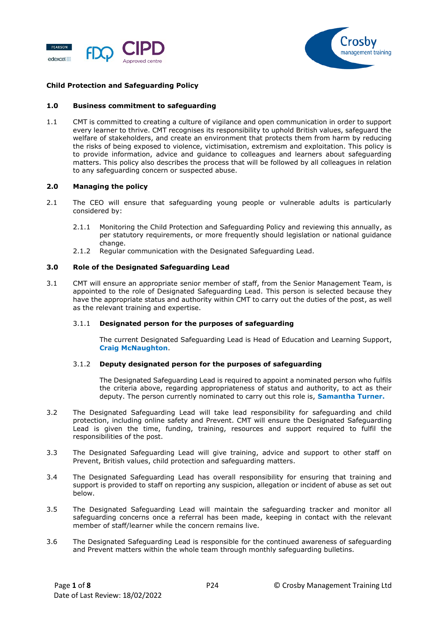



# **Child Protection and Safeguarding Policy**

#### **1.0 Business commitment to safeguarding**

1.1 CMT is committed to creating a culture of vigilance and open communication in order to support every learner to thrive. CMT recognises its responsibility to uphold British values, safeguard the welfare of stakeholders, and create an environment that protects them from harm by reducing the risks of being exposed to violence, victimisation, extremism and exploitation. This policy is to provide information, advice and guidance to colleagues and learners about safeguarding matters. This policy also describes the process that will be followed by all colleagues in relation to any safeguarding concern or suspected abuse.

#### **2.0 Managing the policy**

- 2.1 The CEO will ensure that safeguarding young people or vulnerable adults is particularly considered by:
	- 2.1.1 Monitoring the Child Protection and Safeguarding Policy and reviewing this annually, as per statutory requirements, or more frequently should legislation or national guidance change.
	- 2.1.2 Regular communication with the Designated Safeguarding Lead.

#### **3.0 Role of the Designated Safeguarding Lead**

3.1 CMT will ensure an appropriate senior member of staff, from the Senior Management Team, is appointed to the role of Designated Safeguarding Lead. This person is selected because they have the appropriate status and authority within CMT to carry out the duties of the post, as well as the relevant training and expertise.

#### 3.1.1 **Designated person for the purposes of safeguarding**

The current Designated Safeguarding Lead is Head of Education and Learning Support, **Craig McNaughton**.

## 3.1.2 **Deputy designated person for the purposes of safeguarding**

The Designated Safeguarding Lead is required to appoint a nominated person who fulfils the criteria above, regarding appropriateness of status and authority, to act as their deputy. The person currently nominated to carry out this role is, **Samantha Turner.** 

- 3.2 The Designated Safeguarding Lead will take lead responsibility for safeguarding and child protection, including online safety and Prevent. CMT will ensure the Designated Safeguarding Lead is given the time, funding, training, resources and support required to fulfil the responsibilities of the post.
- 3.3 The Designated Safeguarding Lead will give training, advice and support to other staff on Prevent, British values, child protection and safeguarding matters.
- 3.4 The Designated Safeguarding Lead has overall responsibility for ensuring that training and support is provided to staff on reporting any suspicion, allegation or incident of abuse as set out below.
- 3.5 The Designated Safeguarding Lead will maintain the safeguarding tracker and monitor all safeguarding concerns once a referral has been made, keeping in contact with the relevant member of staff/learner while the concern remains live.
- 3.6 The Designated Safeguarding Lead is responsible for the continued awareness of safeguarding and Prevent matters within the whole team through monthly safeguarding bulletins.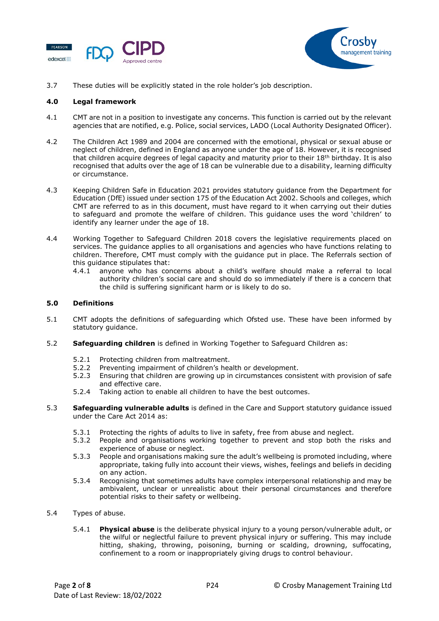



3.7 These duties will be explicitly stated in the role holder's job description.

# **4.0 Legal framework**

- 4.1 CMT are not in a position to investigate any concerns. This function is carried out by the relevant agencies that are notified, e.g. Police, social services, LADO (Local Authority Designated Officer).
- 4.2 The Children Act 1989 and 2004 are concerned with the emotional, physical or sexual abuse or neglect of children, defined in England as anyone under the age of 18. However, it is recognised that children acquire degrees of legal capacity and maturity prior to their 18<sup>th</sup> birthday. It is also recognised that adults over the age of 18 can be vulnerable due to a disability, learning difficulty or circumstance.
- 4.3 Keeping Children Safe in Education 2021 provides statutory guidance from the Department for Education (DfE) issued under section 175 of the Education Act 2002. Schools and colleges, which CMT are referred to as in this document, must have regard to it when carrying out their duties to safeguard and promote the welfare of children. This guidance uses the word 'children' to identify any learner under the age of 18.
- 4.4 Working Together to Safeguard Children 2018 covers the legislative requirements placed on services. The guidance applies to all organisations and agencies who have functions relating to children. Therefore, CMT must comply with the guidance put in place. The Referrals section of this guidance stipulates that:
	- 4.4.1 anyone who has concerns about a child's welfare should make a referral to local authority children's social care and should do so immediately if there is a concern that the child is suffering significant harm or is likely to do so.

# **5.0 Definitions**

- 5.1 CMT adopts the definitions of safeguarding which Ofsted use. These have been informed by statutory guidance.
- 5.2 **Safeguarding children** is defined in Working Together to Safeguard Children as:
	- 5.2.1 Protecting children from maltreatment.<br>5.2.2 Preventing impairment of children's hea
	- Preventing impairment of children's health or development.
	- 5.2.3 Ensuring that children are growing up in circumstances consistent with provision of safe and effective care.
	- 5.2.4 Taking action to enable all children to have the best outcomes.
- 5.3 **Safeguarding vulnerable adults** is defined in the Care and Support statutory guidance issued under the Care Act 2014 as:
	- 5.3.1 Protecting the rights of adults to live in safety, free from abuse and neglect.
	- 5.3.2 People and organisations working together to prevent and stop both the risks and experience of abuse or neglect.
	- 5.3.3 People and organisations making sure the adult's wellbeing is promoted including, where appropriate, taking fully into account their views, wishes, feelings and beliefs in deciding on any action.
	- 5.3.4 Recognising that sometimes adults have complex interpersonal relationship and may be ambivalent, unclear or unrealistic about their personal circumstances and therefore potential risks to their safety or wellbeing.
- 5.4 Types of abuse.
	- 5.4.1 **Physical abuse** is the deliberate physical injury to a young person/vulnerable adult, or the wilful or neglectful failure to prevent physical injury or suffering. This may include hitting, shaking, throwing, poisoning, burning or scalding, drowning, suffocating, confinement to a room or inappropriately giving drugs to control behaviour.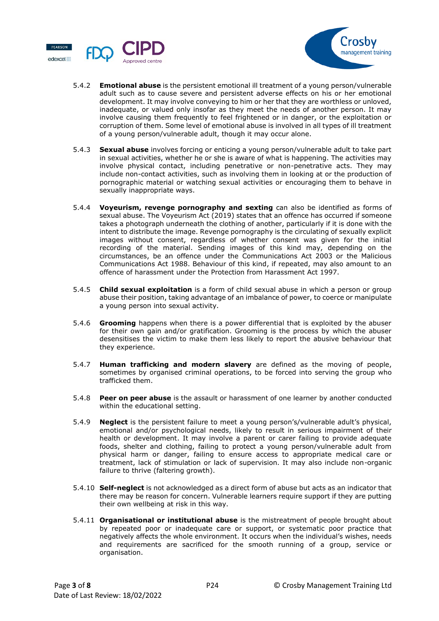



- 5.4.2 **Emotional abuse** is the persistent emotional ill treatment of a young person/vulnerable adult such as to cause severe and persistent adverse effects on his or her emotional development. It may involve conveying to him or her that they are worthless or unloved, inadequate, or valued only insofar as they meet the needs of another person. It may involve causing them frequently to feel frightened or in danger, or the exploitation or corruption of them. Some level of emotional abuse is involved in all types of ill treatment of a young person/vulnerable adult, though it may occur alone.
- 5.4.3 **Sexual abuse** involves forcing or enticing a young person/vulnerable adult to take part in sexual activities, whether he or she is aware of what is happening. The activities may involve physical contact, including penetrative or non-penetrative acts. They may include non-contact activities, such as involving them in looking at or the production of pornographic material or watching sexual activities or encouraging them to behave in sexually inappropriate ways.
- 5.4.4 **Voyeurism, revenge pornography and sexting** can also be identified as forms of sexual abuse. The Voyeurism Act (2019) states that an offence has occurred if someone takes a photograph underneath the clothing of another, particularly if it is done with the intent to distribute the image. Revenge pornography is the circulating of sexually explicit images without consent, regardless of whether consent was given for the initial recording of the material. Sending images of this kind may, depending on the circumstances, be an offence under the Communications Act 2003 or the Malicious Communications Act 1988. Behaviour of this kind, if repeated, may also amount to an offence of harassment under the Protection from Harassment Act 1997.
- 5.4.5 **Child sexual exploitation** is a form of child sexual abuse in which a person or group abuse their position, taking advantage of an imbalance of power, to coerce or manipulate a young person into sexual activity.
- 5.4.6 **Grooming** happens when there is a power differential that is exploited by the abuser for their own gain and/or gratification. Grooming is the process by which the abuser desensitises the victim to make them less likely to report the abusive behaviour that they experience.
- 5.4.7 **Human trafficking and modern slavery** are defined as the moving of people, sometimes by organised criminal operations, to be forced into serving the group who trafficked them.
- 5.4.8 **Peer on peer abuse** is the assault or harassment of one learner by another conducted within the educational setting.
- 5.4.9 **Neglect** is the persistent failure to meet a young person's/vulnerable adult's physical, emotional and/or psychological needs, likely to result in serious impairment of their health or development. It may involve a parent or carer failing to provide adequate foods, shelter and clothing, failing to protect a young person/vulnerable adult from physical harm or danger, failing to ensure access to appropriate medical care or treatment, lack of stimulation or lack of supervision. It may also include non-organic failure to thrive (faltering growth).
- 5.4.10 **Self-neglect** is not acknowledged as a direct form of abuse but acts as an indicator that there may be reason for concern. Vulnerable learners require support if they are putting their own wellbeing at risk in this way.
- 5.4.11 **Organisational or institutional abuse** is the mistreatment of people brought about by repeated poor or inadequate care or support, or systematic poor practice that negatively affects the whole environment. It occurs when the individual's wishes, needs and requirements are sacrificed for the smooth running of a group, service or organisation.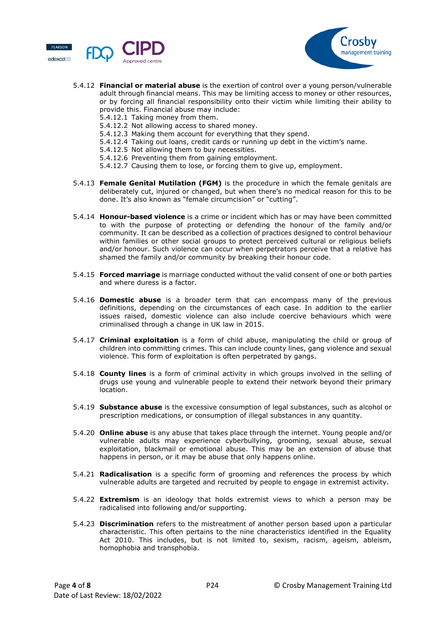



#### 5.4.12 **Financial or material abuse** is the exertion of control over a young person/vulnerable adult through financial means. This may be limiting access to money or other resources, or by forcing all financial responsibility onto their victim while limiting their ability to provide this. Financial abuse may include:

- 5.4.12.1 Taking money from them.
- 5.4.12.2 Not allowing access to shared money.
- 5.4.12.3 Making them account for everything that they spend.
- 5.4.12.4 Taking out loans, credit cards or running up debt in the victim's name.
- 5.4.12.5 Not allowing them to buy necessities.
- 5.4.12.6 Preventing them from gaining employment.
- 5.4.12.7 Causing them to lose, or forcing them to give up, employment.
- 5.4.13 **Female Genital Mutilation (FGM)** is the procedure in which the female genitals are deliberately cut, injured or changed, but when there's no medical reason for this to be done. It's also known as "female circumcision" or "cutting".
- 5.4.14 **Honour-based violence** is a crime or incident which has or may have been committed to with the purpose of protecting or defending the honour of the family and/or community. It can be described as a collection of practices designed to control behaviour within families or other social groups to protect perceived cultural or religious beliefs and/or honour. Such violence can occur when perpetrators perceive that a relative has shamed the family and/or community by breaking their honour code.
- 5.4.15 **Forced marriage** is marriage conducted without the valid consent of one or both parties and where duress is a factor.
- 5.4.16 **Domestic abuse** is a broader term that can encompass many of the previous definitions, depending on the circumstances of each case. In addition to the earlier issues raised, domestic violence can also include coercive behaviours which were criminalised through a change in UK law in 2015.
- 5.4.17 **Criminal exploitation** is a form of child abuse, manipulating the child or group of children into committing crimes. This can include county lines, gang violence and sexual violence. This form of exploitation is often perpetrated by gangs.
- 5.4.18 **County lines** is a form of criminal activity in which groups involved in the selling of drugs use young and vulnerable people to extend their network beyond their primary location.
- 5.4.19 **Substance abuse** is the excessive consumption of legal substances, such as alcohol or prescription medications, or consumption of illegal substances in any quantity.
- 5.4.20 **Online abuse** is any abuse that takes place through the internet. Young people and/or vulnerable adults may experience cyberbullying, grooming, sexual abuse, sexual exploitation, blackmail or emotional abuse. This may be an extension of abuse that happens in person, or it may be abuse that only happens online.
- 5.4.21 **Radicalisation** is a specific form of grooming and references the process by which vulnerable adults are targeted and recruited by people to engage in extremist activity.
- 5.4.22 **Extremism** is an ideology that holds extremist views to which a person may be radicalised into following and/or supporting.
- 5.4.23 **Discrimination** refers to the mistreatment of another person based upon a particular characteristic. This often pertains to the nine characteristics identified in the Equality Act 2010. This includes, but is not limited to, sexism, racism, ageism, ableism, homophobia and transphobia.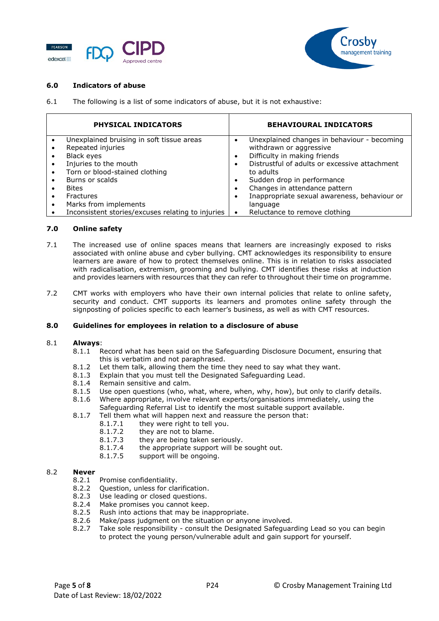



# **6.0 Indicators of abuse**

6.1 The following is a list of some indicators of abuse, but it is not exhaustive:

| <b>PHYSICAL INDICATORS</b>                                                                     |           | <b>BEHAVIOURAL INDICATORS</b>                                                                          |
|------------------------------------------------------------------------------------------------|-----------|--------------------------------------------------------------------------------------------------------|
| Unexplained bruising in soft tissue areas<br>Repeated injuries<br>Black eyes                   |           | Unexplained changes in behaviour - becoming<br>withdrawn or aggressive<br>Difficulty in making friends |
| Injuries to the mouth<br>Torn or blood-stained clothing                                        |           | Distrustful of adults or excessive attachment<br>to adults                                             |
| Burns or scalds<br><b>Bites</b>                                                                |           | Sudden drop in performance<br>Changes in attendance pattern                                            |
| <b>Fractures</b><br>Marks from implements<br>Inconsistent stories/excuses relating to injuries | $\bullet$ | Inappropriate sexual awareness, behaviour or<br>language<br>Reluctance to remove clothing              |

# **7.0 Online safety**

- 7.1 The increased use of online spaces means that learners are increasingly exposed to risks associated with online abuse and cyber bullying. CMT acknowledges its responsibility to ensure learners are aware of how to protect themselves online. This is in relation to risks associated with radicalisation, extremism, grooming and bullying. CMT identifies these risks at induction and provides learners with resources that they can refer to throughout their time on programme.
- 7.2 CMT works with employers who have their own internal policies that relate to online safety, security and conduct. CMT supports its learners and promotes online safety through the signposting of policies specific to each learner's business, as well as with CMT resources.

## **8.0 Guidelines for employees in relation to a disclosure of abuse**

## 8.1 **Always**:

- 8.1.1 Record what has been said on the Safeguarding Disclosure Document, ensuring that this is verbatim and not paraphrased.
- 8.1.2 Let them talk, allowing them the time they need to say what they want.
- 8.1.3 Explain that you must tell the Designated Safeguarding Lead.
- 8.1.4 Remain sensitive and calm.
- 8.1.5 Use open questions (who, what, where, when, why, how), but only to clarify details.
- 8.1.6 Where appropriate, involve relevant experts/organisations immediately, using the Safeguarding Referral List to identify the most suitable support available.
- 8.1.7 Tell them what will happen next and reassure the person that:
	- 8.1.7.1 they were right to tell you.
	-
	- 8.1.7.2 they are not to blame.<br>8.1.7.3 they are being taken s they are being taken seriously.
	- 8.1.7.4 the appropriate support will be sought out.
	- 8.1.7.5 support will be ongoing.

# 8.2 **Never**

- 8.2.1 Promise confidentiality.
- 8.2.2 Question, unless for clarification.
- 8.2.3 Use leading or closed questions.<br>8.2.4 Make promises you cannot keep
- Make promises you cannot keep.
- 8.2.5 Rush into actions that may be inappropriate.
- 8.2.6 Make/pass judgment on the situation or anyone involved.
- 8.2.7 Take sole responsibility consult the Designated Safeguarding Lead so you can begin to protect the young person/vulnerable adult and gain support for yourself.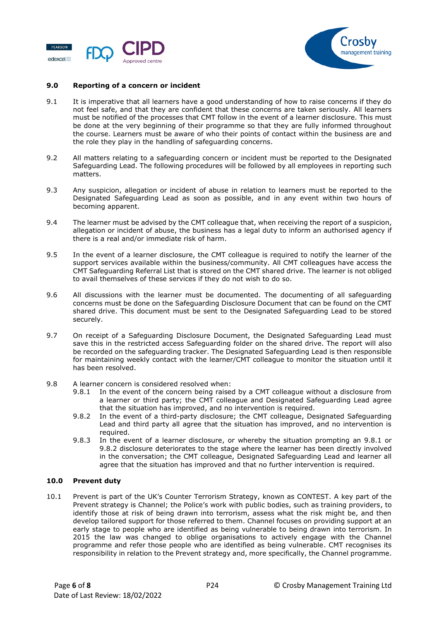



### **9.0 Reporting of a concern or incident**

- 9.1 It is imperative that all learners have a good understanding of how to raise concerns if they do not feel safe, and that they are confident that these concerns are taken seriously. All learners must be notified of the processes that CMT follow in the event of a learner disclosure. This must be done at the very beginning of their programme so that they are fully informed throughout the course. Learners must be aware of who their points of contact within the business are and the role they play in the handling of safeguarding concerns.
- 9.2 All matters relating to a safeguarding concern or incident must be reported to the Designated Safeguarding Lead. The following procedures will be followed by all employees in reporting such matters.
- 9.3 Any suspicion, allegation or incident of abuse in relation to learners must be reported to the Designated Safeguarding Lead as soon as possible, and in any event within two hours of becoming apparent.
- 9.4 The learner must be advised by the CMT colleague that, when receiving the report of a suspicion, allegation or incident of abuse, the business has a legal duty to inform an authorised agency if there is a real and/or immediate risk of harm.
- 9.5 In the event of a learner disclosure, the CMT colleague is required to notify the learner of the support services available within the business/community. All CMT colleagues have access the CMT Safeguarding Referral List that is stored on the CMT shared drive. The learner is not obliged to avail themselves of these services if they do not wish to do so.
- 9.6 All discussions with the learner must be documented. The documenting of all safeguarding concerns must be done on the Safeguarding Disclosure Document that can be found on the CMT shared drive. This document must be sent to the Designated Safeguarding Lead to be stored securely.
- 9.7 On receipt of a Safeguarding Disclosure Document, the Designated Safeguarding Lead must save this in the restricted access Safeguarding folder on the shared drive. The report will also be recorded on the safeguarding tracker. The Designated Safeguarding Lead is then responsible for maintaining weekly contact with the learner/CMT colleague to monitor the situation until it has been resolved.
- 9.8 A learner concern is considered resolved when:
	- 9.8.1 In the event of the concern being raised by a CMT colleague without a disclosure from a learner or third party; the CMT colleague and Designated Safeguarding Lead agree that the situation has improved, and no intervention is required.
	- 9.8.2 In the event of a third-party disclosure; the CMT colleague, Designated Safeguarding Lead and third party all agree that the situation has improved, and no intervention is required.
	- 9.8.3 In the event of a learner disclosure, or whereby the situation prompting an 9.8.1 or 9.8.2 disclosure deteriorates to the stage where the learner has been directly involved in the conversation; the CMT colleague, Designated Safeguarding Lead and learner all agree that the situation has improved and that no further intervention is required.

## **10.0 Prevent duty**

10.1 Prevent is part of the UK's Counter Terrorism Strategy, known as CONTEST. A key part of the Prevent strategy is Channel; the Police's work with public bodies, such as training providers, to identify those at risk of being drawn into terrorism, assess what the risk might be, and then develop tailored support for those referred to them. Channel focuses on providing support at an early stage to people who are identified as being vulnerable to being drawn into terrorism. In 2015 the law was changed to oblige organisations to actively engage with the Channel programme and refer those people who are identified as being vulnerable. CMT recognises its responsibility in relation to the Prevent strategy and, more specifically, the Channel programme.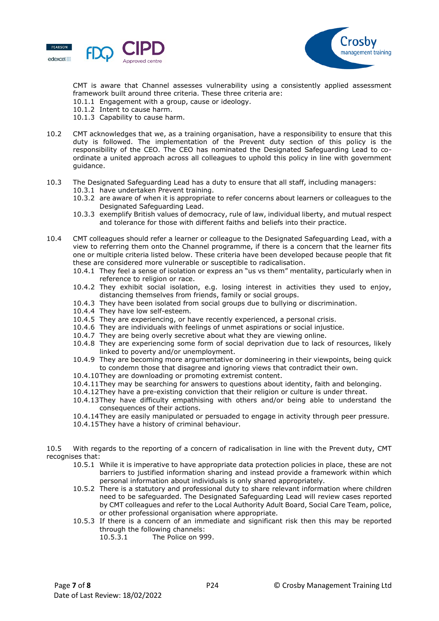



CMT is aware that Channel assesses vulnerability using a consistently applied assessment framework built around three criteria. These three criteria are:

- 10.1.1 Engagement with a group, cause or ideology.
- 10.1.2 Intent to cause harm.
- 10.1.3 Capability to cause harm.
- 10.2 CMT acknowledges that we, as a training organisation, have a responsibility to ensure that this duty is followed. The implementation of the Prevent duty section of this policy is the responsibility of the CEO. The CEO has nominated the Designated Safeguarding Lead to coordinate a united approach across all colleagues to uphold this policy in line with government guidance.
- 10.3 The Designated Safeguarding Lead has a duty to ensure that all staff, including managers: 10.3.1 have undertaken Prevent training.
	- 10.3.2 are aware of when it is appropriate to refer concerns about learners or colleagues to the Designated Safeguarding Lead.
	- 10.3.3 exemplify British values of democracy, rule of law, individual liberty, and mutual respect and tolerance for those with different faiths and beliefs into their practice.
- 10.4 CMT colleagues should refer a learner or colleague to the Designated Safeguarding Lead, with a view to referring them onto the Channel programme, if there is a concern that the learner fits one or multiple criteria listed below. These criteria have been developed because people that fit these are considered more vulnerable or susceptible to radicalisation.
	- 10.4.1 They feel a sense of isolation or express an "us vs them" mentality, particularly when in reference to religion or race.
	- 10.4.2 They exhibit social isolation, e.g. losing interest in activities they used to enjoy, distancing themselves from friends, family or social groups.
	- 10.4.3 They have been isolated from social groups due to bullying or discrimination.
	- 10.4.4 They have low self-esteem.
	- 10.4.5 They are experiencing, or have recently experienced, a personal crisis.
	- 10.4.6 They are individuals with feelings of unmet aspirations or social injustice.
	- 10.4.7 They are being overly secretive about what they are viewing online.
	- 10.4.8 They are experiencing some form of social deprivation due to lack of resources, likely linked to poverty and/or unemployment.
	- 10.4.9 They are becoming more argumentative or domineering in their viewpoints, being quick to condemn those that disagree and ignoring views that contradict their own.
	- 10.4.10They are downloading or promoting extremist content.
	- 10.4.11They may be searching for answers to questions about identity, faith and belonging.
	- 10.4.12They have a pre-existing conviction that their religion or culture is under threat.
	- 10.4.13They have difficulty empathising with others and/or being able to understand the consequences of their actions.
	- 10.4.14They are easily manipulated or persuaded to engage in activity through peer pressure.
	- 10.4.15They have a history of criminal behaviour.

10.5 With regards to the reporting of a concern of radicalisation in line with the Prevent duty, CMT recognises that:

- 10.5.1 While it is imperative to have appropriate data protection policies in place, these are not barriers to justified information sharing and instead provide a framework within which personal information about individuals is only shared appropriately.
- 10.5.2 There is a statutory and professional duty to share relevant information where children need to be safeguarded. The Designated Safeguarding Lead will review cases reported by CMT colleagues and refer to the Local Authority Adult Board, Social Care Team, police, or other professional organisation where appropriate.
- 10.5.3 If there is a concern of an immediate and significant risk then this may be reported through the following channels:
	- 10.5.3.1 The Police on 999.